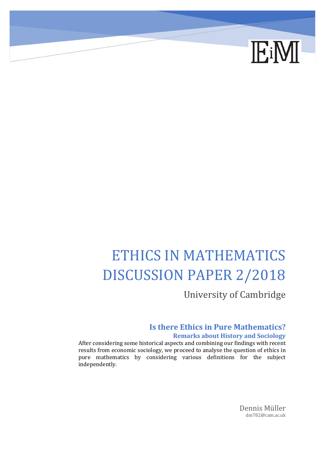

# ETHICS IN MATHEMATICS DISCUSSION PAPER 2/2018

University of Cambridge

#### **Is there Ethics in Pure Mathematics? Remarks about History and Sociology**

After considering some historical aspects and combining our findings with recent results from economic sociology, we proceed to analyse the question of ethics in pure mathematics by considering various definitions for the subject independently.

> Dennis Müller dm782@cam.ac.uk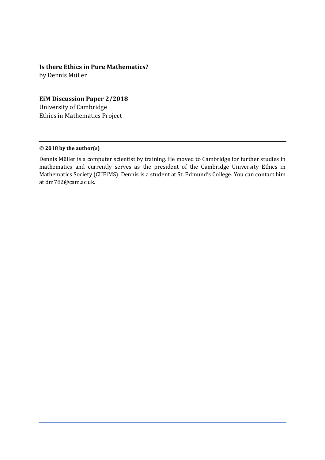#### **Is there Ethics in Pure Mathematics?**

by Dennis Müller

#### **EiM Discussion Paper 2/2018**

University of Cambridge Ethics in Mathematics Project

#### **© 2018 by the author(s)**

Dennis Müller is a computer scientist by training. He moved to Cambridge for further studies in mathematics and currently serves as the president of the Cambridge University Ethics in Mathematics Society (CUEiMS). Dennis is a student at St. Edmund's College. You can contact him at dm782@cam.ac.uk.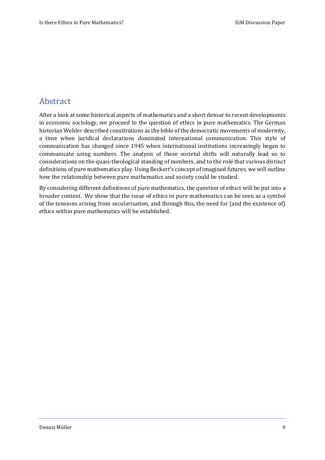## Abstract

After a look at some historical aspects of mathematics and a short detour to recent developments in economic sociology, we proceed to the question of ethics in pure mathematics. The German historian Wehler described constitutions as the bible of the democratic movements of modernity, a time when juridical declarations dominated international communication. This style of communication has changed since 1945 when international institutions increasingly began to communicate using numbers. The analysis of these societal shifts will naturally lead us to considerations on the quasi-theological standing of numbers, and to the role that various distinct definitions of pure mathematics play. Using Beckert's concept of imagined futures, we will outline how the relationship between pure mathematics and society could be studied.

By considering different definitions of pure mathematics, the question of ethics will be put into a broader context. We show that the issue of ethics in pure mathematics can be seen as a symbol of the tensions arising from secularisation, and through this, the need for (and the existence of) ethics within pure mathematics will be established.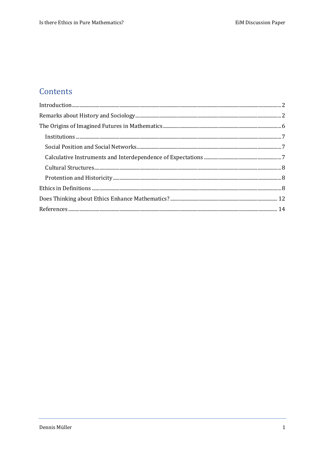# Contents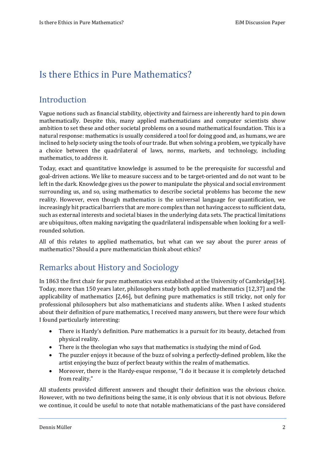# <span id="page-4-0"></span>Is there Ethics in Pure Mathematics?

## <span id="page-4-1"></span>Introduction

Vague notions such as financial stability, objectivity and fairness are inherently hard to pin down mathematically. Despite this, many applied mathematicians and computer scientists show ambition to set these and other societal problems on a sound mathematical foundation. This is a natural response: mathematics is usually considered a tool for doing good and, as humans, we are inclined to help society using the tools of our trade. But when solving a problem, we typically have a choice between the quadrilateral of laws, norms, markets, and technology, including mathematics, to address it.

Today, exact and quantitative knowledge is assumed to be the prerequisite for successful and goal-driven actions. We like to measure success and to be target-oriented and do not want to be left in the dark. Knowledge gives us the power to manipulate the physical and social environment surrounding us, and so, using mathematics to describe societal problems has become the new reality. However, even though mathematics is the universal language for quantification, we increasingly hit practical barriers that are more complex than not having access to sufficient data, such as external interests and societal biases in the underlying data sets. The practical limitations are ubiquitous, often making navigating the quadrilateral indispensable when looking for a wellrounded solution.

All of this relates to applied mathematics, but what can we say about the purer areas of mathematics? Should a pure mathematician think about ethics?

# Remarks about History and Sociology

In 1863 the first chair for pure mathematics was established at the University of Cambridge[34]. Today, more than 150 years later, philosophers study both applied mathematics [12,37] and the applicability of mathematics [2,46], but defining pure mathematics is still tricky, not only for professional philosophers but also mathematicians and students alike. When I asked students about their definition of pure mathematics, I received many answers, but there were four which I found particularly interesting:

- There is Hardy's definition. Pure mathematics is a pursuit for its beauty, detached from physical reality.
- There is the theologian who says that mathematics is studying the mind of God.
- The puzzler enjoys it because of the buzz of solving a perfectly-defined problem, like the artist enjoying the buzz of perfect beauty within the realm of mathematics.
- Moreover, there is the Hardy-esque response, "I do it because it is completely detached from reality."

All students provided different answers and thought their definition was the obvious choice. However, with no two definitions being the same, it is only obvious that it is not obvious. Before we continue, it could be useful to note that notable mathematicians of the past have considered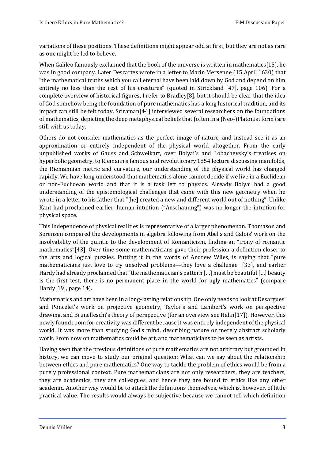variations of these positions. These definitions might appear odd at first, but they are not as rare as one might be led to believe.

When Galileo famously exclaimed that the book of the universe is written in mathematics[15], he was in good company. Later Descartes wrote in a letter to Marin Mersenne (15 April 1630) that "the mathematical truths which you call eternal have been laid down by God and depend on him entirely no less than the rest of his creatures" (quoted in Strickland [47], page 106). For a complete overview of historical figures, I refer to Bradley[8], but it should be clear that the idea of God somehow being the foundation of pure mathematics has a long historical tradition, and its impact can still be felt today. Sriraman[44] interviewed several researchers on the foundations of mathematics, depicting the deep metaphysical beliefs that (often in a (Neo-)Platonist form) are still with us today.

Others do not consider mathematics as the perfect image of nature, and instead see it as an approximation or entirely independent of the physical world altogether. From the early unpublished works of Gauss and Schweikart, over Bolyai's and Lobachevsky's treatises on hyperbolic geometry, to Riemann's famous and revolutionary 1854 lecture discussing manifolds, the Riemannian metric and curvature, our understanding of the physical world has changed rapidly. We have long understood that mathematics alone cannot decide if we live in a Euclidean or non-Euclidean world and that it is a task left to physics. Already Bolyai had a good understanding of the epistemological challenges that came with this new geometry when he wrote in a letter to his father that "[he] created a new and different world out of nothing". Unlike Kant had proclaimed earlier, human intuition ("Anschauung") was no longer the intuition for physical space.

This independence of physical realities is representative of a larger phenomenon. Thomason and Sorensen compared the developments in algebra following from Abel's and Galois' work on the insolvability of the quintic to the development of Romanticism, finding an "irony of romantic mathematics"[43]. Over time some mathematicians gave their profession a definition closer to the arts and logical puzzles. Putting it in the words of Andrew Wiles, is saying that "pure mathematicians just love to try unsolved problems—they love a challenge" [33], and earlier Hardy had already proclaimed that "the mathematician's pattern [...] must be beautiful [...] beauty is the first test, there is no permanent place in the world for ugly mathematics" (compare Hardy[19], page 14).

Mathematics and art have been in a long-lasting relationship. One only needs to look at Desargues' and Poncelet's work on projective geometry, Taylor's and Lambert's work on perspective drawing, and Brunelleschi's theory of perspective (for an overview see Hahn[17]). However, this newly found room for creativity was different because it was entirely independent of the physical world. It was more than studying God's mind, describing nature or merely abstract scholarly work. From now on mathematics could be art, and mathematicians to be seen as artists.

Having seen that the previous definitions of pure mathematics are not arbitrary but grounded in history, we can move to study our original question: What can we say about the relationship between ethics and pure mathematics? One way to tackle the problem of ethics would be from a purely professional context. Pure mathematicians are not only researchers, they are teachers, they are academics, they are colleagues, and hence they are bound to ethics like any other academic. Another way would be to attack the definitions themselves, which is, however, of little practical value. The results would always be subjective because we cannot tell which definition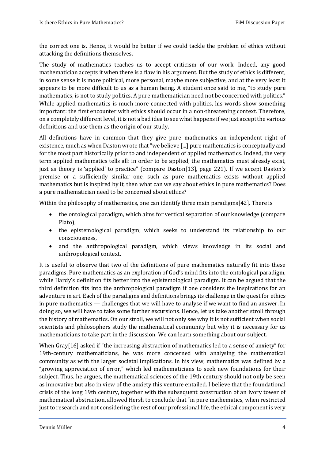the correct one is. Hence, it would be better if we could tackle the problem of ethics without attacking the definitions themselves.

The study of mathematics teaches us to accept criticism of our work. Indeed, any good mathematician accepts it when there is a flaw in his argument. But the study of ethics is different, in some sense it is more political, more personal, maybe more subjective, and at the very least it appears to be more difficult to us as a human being. A student once said to me, "to study pure mathematics, is not to study politics. A pure mathematician need not be concerned with politics." While applied mathematics is much more connected with politics, his words show something important: the first encounter with ethics should occur in a non-threatening context. Therefore, on a completely different level, it is not a bad idea to see what happens if we just accept the various definitions and use them as the origin of our study.

All definitions have in common that they give pure mathematics an independent right of existence, much as when Daston wrote that "we believe [...] pure mathematics is conceptually and for the most part historically prior to and independent of applied mathematics. Indeed, the very term applied mathematics tells all: in order to be applied, the mathematics must already exist, just as theory is 'applied' to practice" (compare Daston[13], page 221). If we accept Daston's premise or a sufficiently similar one, such as pure mathematics exists without applied mathematics but is inspired by it, then what can we say about ethics in pure mathematics? Does a pure mathematician need to be concerned about ethics?

Within the philosophy of mathematics, one can identify three main paradigms[42]. There is

- the ontological paradigm, which aims for vertical separation of our knowledge (compare Plato),
- the epistemological paradigm, which seeks to understand its relationship to our consciousness,
- and the anthropological paradigm, which views knowledge in its social and anthropological context.

It is useful to observe that two of the definitions of pure mathematics naturally fit into these paradigms. Pure mathematics as an exploration of God's mind fits into the ontological paradigm, while Hardy's definition fits better into the epistemological paradigm. It can be argued that the third definition fits into the anthropological paradigm if one considers the inspirations for an adventure in art. Each of the paradigms and definitions brings its challenge in the quest for ethics in pure mathematics — challenges that we will have to analyse if we want to find an answer. In doing so, we will have to take some further excursions. Hence, let us take another stroll through the history of mathematics. On our stroll, we will not only see why it is not sufficient when social scientists and philosophers study the mathematical community but why it is necessary for us mathematicians to take part in the discussion. We can learn something about our subject.

When Gray<sup>[16]</sup> asked if "the increasing abstraction of mathematics led to a sense of anxiety" for 19th-century mathematicians, he was more concerned with analysing the mathematical community as with the larger societal implications. In his view, mathematics was defined by a "growing appreciation of error," which led mathematicians to seek new foundations for their subject. Thus, he argues, the mathematical sciences of the 19th century should not only be seen as innovative but also in view of the anxiety this venture entailed. I believe that the foundational crisis of the long 19th century, together with the subsequent construction of an ivory tower of mathematical abstraction, allowed Hersh to conclude that "in pure mathematics, when restricted just to research and not considering the rest of our professional life, the ethical component is very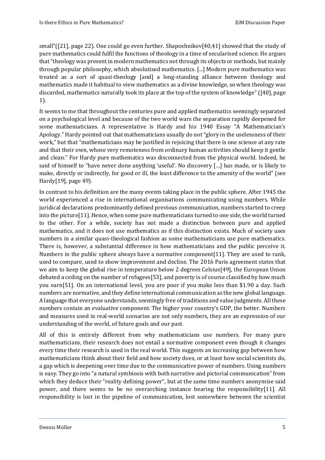small"([21], page 22). One could go even further. Shaposhnikov[40,41] showed that the study of pure mathematics could fulfil the functions of theology in a time of secularised science. He argues that "theology was present in modern mathematics not through its objects or methods, but mainly through popular philosophy, which absolutised mathematics. [...] Modern pure mathematics was treated as a sort of quasi-theology [and] a long-standing alliance between theology and mathematics made it habitual to view mathematics as a divine knowledge, so when theology was discarded, mathematics naturally took its place at the top of the system of knowledge" ([40], page 1).

It seems to me that throughout the centuries pure and applied mathematics seemingly separated on a psychological level and because of the two world wars the separation rapidly deepened for some mathematicians. A representative is Hardy and his 1940 Essay "A Mathematician's Apology." Hardy pointed out that mathematicians usually do not "glory in the uselessness of their work," but that "mathematicians may be justified in rejoicing that there is one science at any rate and that their own, whose very remoteness from ordinary human activities should keep it gentle and clean." For Hardy pure mathematics was disconnected from the physical world. Indeed, he said of himself to "have never done anything 'useful'. No discovery […] has made, or is likely to make, directly or indirectly, for good or ill, the least difference to the amenity of the world" (see Hardy[19], page 49).

In contrast to his definition are the many events taking place in the public sphere. After 1945 the world experienced a rise in international organisations communicating using numbers. While juridical declarations predominantly defined previous communication, numbers started to creep into the picture[11]. Hence, when some pure mathematicians turned to one side, the world turned to the other. For a while, society has not made a distinction between pure and applied mathematics, and it does not use mathematics as if this distinction exists. Much of society uses numbers in a similar quasi-theological fashion as some mathematicians use pure mathematics. There is, however, a substantial difference in how mathematicians and the public perceive it. Numbers in the public sphere always have a normative component[11]. They are used to rank, used to compare, used to show improvement and decline. The 2016 Paris agreement states that we aim to keep the global rise in temperature below 2 degrees Celsius[49], the European Union debated a ceiling on the number of refugees[53], and poverty is of course classified by how much you earn[51]. On an international level, you are poor if you make less than \$1.90 a day. Such numbers are normative, and they define international communication as the new global language. A language that everyone understands, seemingly free of traditions and value judgments. All these numbers contain an evaluative component. The higher your country's GDP, the better. Numbers and measures used in real-world scenarios are not only numbers, they are an expression of our understanding of the world, of future goals and our past.

All of this is entirely different from why mathematicians use numbers. For many pure mathematicians, their research does not entail a normative component even though it changes every time their research is used in the real world. This suggests an increasing gap between how mathematicians think about their field and how society does, or at least how social scientists do, a gap which is deepening over time due to the communicative power of numbers. Using numbers is easy. They go into "a natural symbiosis with both narrative and pictorial communication" from which they deduce their "reality defining power", but at the same time numbers anonymise said power, and there seems to be no overarching instance bearing the responsibility[11]. All responsibility is lost in the pipeline of communication, lost somewhere between the scientist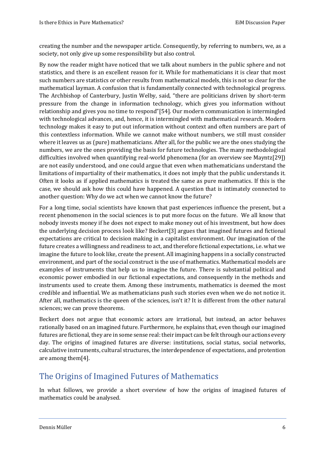creating the number and the newspaper article. Consequently, by referring to numbers, we, as a society, not only give up some responsibility but also control.

By now the reader might have noticed that we talk about numbers in the public sphere and not statistics, and there is an excellent reason for it. While for mathematicians it is clear that most such numbers are statistics or other results from mathematical models, this is not so clear for the mathematical layman. A confusion that is fundamentally connected with technological progress. The Archbishop of Canterbury, Justin Welby, said, "there are politicians driven by short-term pressure from the change in information technology, which gives you information without relationship and gives you no time to respond"[54]. Our modern communication is intermingled with technological advances, and, hence, it is intermingled with mathematical research. Modern technology makes it easy to put out information without context and often numbers are part of this contextless information. While we cannot make without numbers, we still must consider where it leaves us as (pure) mathematicians. After all, for the public we are the ones studying the numbers, we are the ones providing the basis for future technologies. The many methodological difficulties involved when quantifying real-world phenomena (for an overview see Mayntz[29]) are not easily understood, and one could argue that even when mathematicians understand the limitations of impartiality of their mathematics, it does not imply that the public understands it. Often it looks as if applied mathematics is treated the same as pure mathematics. If this is the case, we should ask how this could have happened. A question that is intimately connected to another question: Why do we act when we cannot know the future?

For a long time, social scientists have known that past experiences influence the present, but a recent phenomenon in the social sciences is to put more focus on the future. We all know that nobody invests money if he does not expect to make money out of his investment, but how does the underlying decision process look like? Beckert[3] argues that imagined futures and fictional expectations are critical to decision making in a capitalist environment. Our imagination of the future creates a willingness and readiness to act, and therefore fictional expectations, i.e. what we imagine the future to look like, create the present. All imagining happens in a socially constructed environment, and part of the social construct is the use of mathematics. Mathematical models are examples of instruments that help us to imagine the future. There is substantial political and economic power embodied in our fictional expectations, and consequently in the methods and instruments used to create them. Among these instruments, mathematics is deemed the most credible and influential. We as mathematicians push such stories even when we do not notice it. After all, mathematics is the queen of the sciences, isn't it? It is different from the other natural sciences; we can prove theorems.

Beckert does not argue that economic actors are irrational, but instead, an actor behaves rationally based on an imagined future. Furthermore, he explains that, even though our imagined futures are fictional, they are in some sense real: their impact can be felt through our actions every day. The origins of imagined futures are diverse: institutions, social status, social networks, calculative instruments, cultural structures, the interdependence of expectations, and protention are among them[4].

# <span id="page-8-0"></span>The Origins of Imagined Futures of Mathematics

In what follows, we provide a short overview of how the origins of imagined futures of mathematics could be analysed.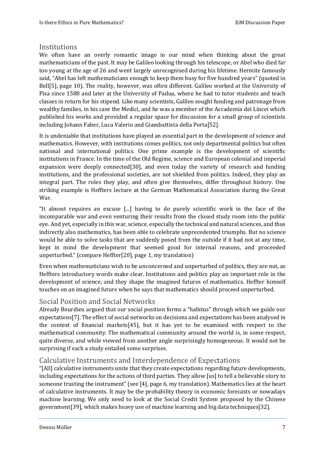#### <span id="page-9-0"></span>**Institutions**

We often have an overly romantic image in our mind when thinking about the great mathematicians of the past. It may be Galileo looking through his telescope, or Abel who died far too young at the age of 26 and went largely unrecognised during his lifetime. Hermite famously said, "Abel has left mathematicians enough to keep them busy for five hundred years" (quoted in Bell[5], page 10). The reality, however, was often different. Galileo worked at the University of Pisa since 1588 and later at the University of Padua, where he had to tutor students and teach classes in return for his stipend. Like many scientists, Galileo sought funding and patronage from wealthy families, in his case the Medici, and he was a member of the Accademia dei Lincei which published his works and provided a regular space for discussion for a small group of scientists including Johann Faber, Luca Valerio and Giambattista della Porta[52].

It is undeniable that institutions have played an essential part in the development of science and mathematics. However, with institutions comes politics, not only departmental politics but often national and international politics. One prime example is the development of scientific institutions in France. In the time of the Old Regime, science and European colonial and imperial expansion were deeply connected[30], and even today the variety of research and funding institutions, and the professional societies, are not shielded from politics. Indeed, they play an integral part. The roles they play, and often give themselves, differ throughout history. One striking example is Heffters lecture at the German Mathematical Association during the Great War.

"It almost requires an excuse [...] having to do purely scientific work in the face of the incomparable war and even venturing their results from the closed study room into the public eye. And yet, especially in this war, science, especially the technical and natural sciences, and thus indirectly also mathematics, has been able to celebrate unprecedented triumphs. But no science would be able to solve tasks that are suddenly posed from the outside if it had not at any time, kept in mind the development that seemed good for internal reasons, and proceeded unperturbed." (compare Heffter[20], page 1, my translation)

Even when mathematicians wish to be unconcerned and unperturbed of politics, they are not, as Heffters introductory words make clear. Institutions and politics play an important role in the development of science, and they shape the imagined futures of mathematics. Heffter himself touches on an imagined future when he says that mathematics should proceed unperturbed.

#### <span id="page-9-1"></span>Social Position and Social Networks

Already Bourdieu argued that our social position forms a "habitus" through which we guide our expectations[7]. The effect of social networks on decisions and expectations has been analysed in the context of financial markets[45], but it has yet to be examined with respect to the mathematical community. The mathematical community around the world is, in some respect, quite diverse, and while viewed from another angle surprisingly homogeneous. It would not be surprising if such a study entailed some surprises.

#### <span id="page-9-2"></span>Calculative Instruments and Interdependence of Expectations

"[All] calculative instruments unite that they create expectations regarding future developments, including expectations for the actions of third parties. They allow [us] to tell a believable story to someone trusting the instrument" (see [4], page 6, my translation). Mathematics lies at the heart of calculative instruments. It may be the probability theory in economic forecasts or nowadays machine learning. We only need to look at the Social Credit System proposed by the Chinese government[39], which makes heavy use of machine learning and big data techniques[32].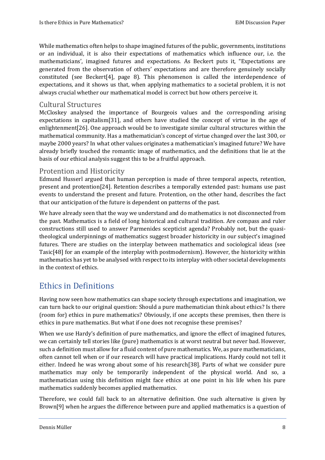While mathematics often helps to shape imagined futures of the public, governments, institutions or an individual, it is also their expectations of mathematics which influence our, i.e. the mathematicians', imagined futures and expectations. As Beckert puts it, "Expectations are generated from the observation of others' expectations and are therefore genuinely socially constituted (see Beckert[4], page 8). This phenomenon is called the interdependence of expectations, and it shows us that, when applying mathematics to a societal problem, it is not always crucial whether our mathematical model is correct but how others perceive it.

#### <span id="page-10-0"></span>Cultural Structures

McCloskey analysed the importance of Bourgeois values and the corresponding arising expectations in capitalism[31], and others have studied the concept of virtue in the age of enlightenment[26]. One approach would be to investigate similar cultural structures within the mathematical community. Has a mathematician's concept of virtue changed over the last 300, or maybe 2000 years? In what other values originates a mathematician's imagined future? We have already briefly touched the romantic image of mathematics, and the definitions that lie at the basis of our ethical analysis suggest this to be a fruitful approach.

#### <span id="page-10-1"></span>Protention and Historicity

Edmund Husserl argued that human perception is made of three temporal aspects, retention, present and protention[24]. Retention describes a temporally extended past: humans use past events to understand the present and future. Protention, on the other hand, describes the fact that our anticipation of the future is dependent on patterns of the past.

We have already seen that the way we understand and do mathematics is not disconnected from the past. Mathematics is a field of long historical and cultural tradition. Are compass and ruler constructions still used to answer Parmenides scepticist agenda? Probably not, but the quasitheological underpinnings of mathematics suggest broader historicity in our subject's imagined futures. There are studies on the interplay between mathematics and sociological ideas (see Tasic[48] for an example of the interplay with postmodernism). However, the historicity within mathematics has yet to be analysed with respect to its interplay with other societal developments in the context of ethics.

# <span id="page-10-2"></span>Ethics in Definitions

Having now seen how mathematics can shape society through expectations and imagination, we can turn back to our original question: Should a pure mathematician think about ethics? Is there (room for) ethics in pure mathematics? Obviously, if one accepts these premises, then there is ethics in pure mathematics. But what if one does not recognise these premises?

When we use Hardy's definition of pure mathematics, and ignore the effect of imagined futures, we can certainly tell stories like (pure) mathematics is at worst neutral but never bad. However, such a definition must allow for a fluid content of pure mathematics. We, as pure mathematicians, often cannot tell when or if our research will have practical implications. Hardy could not tell it either. Indeed he was wrong about some of his research[38]. Parts of what we consider pure mathematics may only be temporarily independent of the physical world. And so, a mathematician using this definition might face ethics at one point in his life when his pure mathematics suddenly becomes applied mathematics.

Therefore, we could fall back to an alternative definition. One such alternative is given by Brown[9] when he argues the difference between pure and applied mathematics is a question of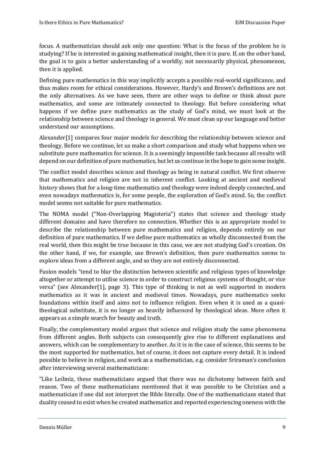focus. A mathematician should ask only one question: What is the focus of the problem he is studying? If he is interested in gaining mathematical insight, then it is pure. If, on the other hand, the goal is to gain a better understanding of a worldly, not necessarily physical, phenomenon, then it is applied.

Defining pure mathematics in this way implicitly accepts a possible real-world significance, and thus makes room for ethical considerations. However, Hardy's and Brown's definitions are not the only alternatives. As we have seen, there are other ways to define or think about pure mathematics, and some are intimately connected to theology. But before considering what happens if we define pure mathematics as the study of God's mind, we must look at the relationship between science and theology in general. We must clean up our language and better understand our assumptions.

Alexander[1] compares four major models for describing the relationship between science and theology. Before we continue, let us make a short comparison and study what happens when we substitute pure mathematics for science. It is a seemingly impossible task because all results will depend on our definition of pure mathematics, but let us continue in the hope to gain some insight.

The conflict model describes science and theology as being in natural conflict. We first observe that mathematics and religion are not in inherent conflict. Looking at ancient and medieval history shows that for a long-time mathematics and theology were indeed deeply connected, and even nowadays mathematics is, for some people, the exploration of God's mind. So, the conflict model seems not suitable for pure mathematics.

The NOMA model ("Non-Overlapping Magisteria") states that science and theology study different domains and have therefore no connection. Whether this is an appropriate model to describe the relationship between pure mathematics and religion, depends entirely on our definition of pure mathematics. If we define pure mathematics as wholly disconnected from the real world, then this might be true because in this case, we are not studying God's creation. On the other hand, if we, for example, use Brown's definition, then pure mathematics seems to explore ideas from a different angle, and so they are not entirely disconnected.

Fusion models "tend to blur the distinction between scientific and religious types of knowledge altogether or attempt to utilise science in order to construct religious systems of thought, or vice versa" (see Alexander[1], page 3). This type of thinking is not as well supported in modern mathematics as it was in ancient and medieval times. Nowadays, pure mathematics seeks foundations within itself and aims not to influence religion. Even when it is used as a quasitheological substitute, it is no longer as heavily influenced by theological ideas. More often it appears as a simple search for beauty and truth.

Finally, the complementary model argues that science and religion study the same phenomena from different angles. Both subjects can consequently give rise to different explanations and answers, which can be complementary to another. As it is in the case of science, this seems to be the most supported for mathematics, but of course, it does not capture every detail. It is indeed possible to believe in religion, and work as a mathematician, e.g. consider Sriraman's conclusion after interviewing several mathematicians:

"Like Leibniz, these mathematicians argued that there was no dichotomy between faith and reason. Two of these mathematicians mentioned that it was possible to be Christian and a mathematician if one did not interpret the Bible literally. One of the mathematicians stated that duality ceased to exist when he created mathematics and reported experiencing oneness with the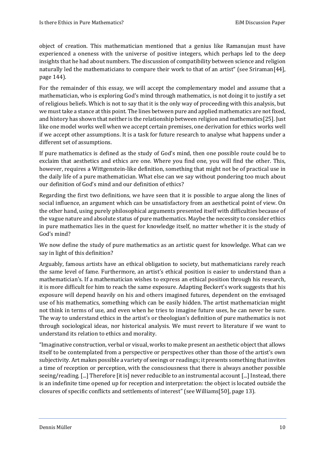object of creation. This mathematician mentioned that a genius like Ramanujan must have experienced a oneness with the universe of positive integers, which perhaps led to the deep insights that he had about numbers. The discussion of compatibility between science and religion naturally led the mathematicians to compare their work to that of an artist" (see Sriraman[44], page 144).

For the remainder of this essay, we will accept the complementary model and assume that a mathematician, who is exploring God's mind through mathematics, is not doing it to justify a set of religious beliefs. Which is not to say that it is the only way of proceeding with this analysis, but we must take a stance at this point. The lines between pure and applied mathematics are not fixed, and history has shown that neither is the relationship between religion and mathematics[25]. Just like one model works well when we accept certain premises, one derivation for ethics works well if we accept other assumptions. It is a task for future research to analyse what happens under a different set of assumptions.

If pure mathematics is defined as the study of God's mind, then one possible route could be to exclaim that aesthetics and ethics are one. Where you find one, you will find the other. This, however, requires a Wittgenstein-like definition, something that might not be of practical use in the daily life of a pure mathematician. What else can we say without pondering too much about our definition of God's mind and our definition of ethics?

Regarding the first two definitions, we have seen that it is possible to argue along the lines of social influence, an argument which can be unsatisfactory from an aesthetical point of view. On the other hand, using purely philosophical arguments presented itself with difficulties because of the vague nature and absolute status of pure mathematics. Maybe the necessity to consider ethics in pure mathematics lies in the quest for knowledge itself, no matter whether it is the study of God's mind?

We now define the study of pure mathematics as an artistic quest for knowledge. What can we say in light of this definition?

Arguably, famous artists have an ethical obligation to society, but mathematicians rarely reach the same level of fame. Furthermore, an artist's ethical position is easier to understand than a mathematician's. If a mathematician wishes to express an ethical position through his research, it is more difficult for him to reach the same exposure. Adapting Beckert's work suggests that his exposure will depend heavily on his and others imagined futures, dependent on the envisaged use of his mathematics, something which can be easily hidden. The artist mathematician might not think in terms of use, and even when he tries to imagine future uses, he can never be sure. The way to understand ethics in the artist's or theologian's definition of pure mathematics is not through sociological ideas, nor historical analysis. We must revert to literature if we want to understand its relation to ethics and morality.

"Imaginative construction, verbal or visual, works to make present an aesthetic object that allows itself to be contemplated from a perspective or perspectives other than those of the artist's own subjectivity. Art makes possible a variety of seeings or readings; it presents something that invites a time of reception or perception, with the consciousness that there is always another possible seeing/reading. [...] Therefore [it is] never reducible to an instrumental account [...] Instead, there is an indefinite time opened up for reception and interpretation: the object is located outside the closures of specific conflicts and settlements of interest" (see Williams[50], page 13).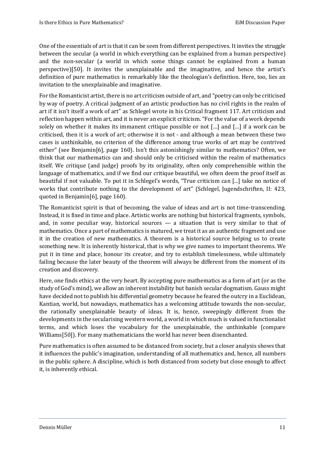One of the essentials of art is that it can be seen from different perspectives. It invites the struggle between the secular (a world in which everything can be explained from a human perspective) and the non-secular (a world in which some things cannot be explained from a human perspective)[50]. It invites the unexplainable and the imaginative, and hence the artist's definition of pure mathematics is remarkably like the theologian's definition. Here, too, lies an invitation to the unexplainable and imaginative.

For the Romanticist artist, there is no art criticism outside of art, and "poetry can only be criticised by way of poetry. A critical judgment of an artistic production has no civil rights in the realm of art if it isn't itself a work of art" as Schlegel wrote in his Critical fragment 117. Art criticism and reflection happen within art, and it is never an explicit criticism. "For the value of a work depends solely on whether it makes its immanent critique possible or not […] and […] if a work can be criticised, then it is a work of art; otherwise it is not - and although a mean between these two cases is unthinkable, no criterion of the difference among true works of art may be contrived either" (see Benjamin[6], page 160). Isn't this astonishingly similar to mathematics? Often, we think that our mathematics can and should only be criticised within the realm of mathematics itself. We critique (and judge) proofs by its originality, often only comprehensible within the language of mathematics, and if we find our critique beautiful, we often deem the proof itself as beautiful if not valuable. To put it in Schlegel's words, "True criticism can [...] take no notice of works that contribute nothing to the development of art" (Schlegel, Jugendschriften, II: 423, quoted in Benjamin[6], page 160).

The Romanticist spirit is that of becoming, the value of ideas and art is not time-transcending. Instead, it is fixed in time and place. Artistic works are nothing but historical fragments, symbols, and, in some peculiar way, historical sources  $-$  a situation that is very similar to that of mathematics. Once a part of mathematics is matured, we treat it as an authentic fragment and use it in the creation of new mathematics. A theorem is a historical source helping us to create something new. It is inherently historical, that is why we give names to important theorems. We put it in time and place, honour its creator, and try to establish timelessness, while ultimately failing because the later beauty of the theorem will always be different from the moment of its creation and discovery.

Here, one finds ethics at the very heart. By accepting pure mathematics as a form of art (or as the study of God's mind), we allow an inherent instability but banish secular dogmatism. Gauss might have decided not to publish his differential geometry because he feared the outcry in a Euclidean, Kantian, world, but nowadays, mathematics has a welcoming attitude towards the non-secular, the rationally unexplainable beauty of ideas. It is, hence, sweepingly different from the developments in the secularising western world, a world in which much is valued in functionalist terms, and which loses the vocabulary for the unexplainable, the unthinkable (compare Williams[50]). For many mathematicians the world has never been disenchanted.

Pure mathematics is often assumed to be distanced from society, but a closer analysis shows that it influences the public's imagination, understanding of all mathematics and, hence, all numbers in the public sphere. A discipline, which is both distanced from society but close enough to affect it, is inherently ethical.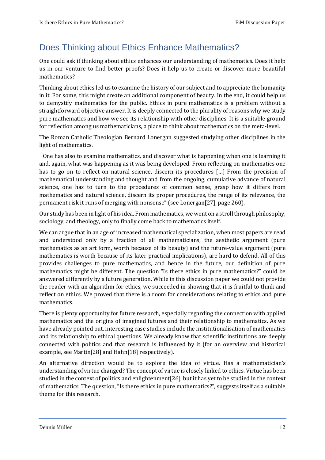# <span id="page-14-0"></span>Does Thinking about Ethics Enhance Mathematics?

One could ask if thinking about ethics enhances our understanding of mathematics. Does it help us in our venture to find better proofs? Does it help us to create or discover more beautiful mathematics?

Thinking about ethics led us to examine the history of our subject and to appreciate the humanity in it. For some, this might create an additional component of beauty. In the end, it could help us to demystify mathematics for the public. Ethics in pure mathematics is a problem without a straightforward objective answer. It is deeply connected to the plurality of reasons why we study pure mathematics and how we see its relationship with other disciplines. It is a suitable ground for reflection among us mathematicians, a place to think about mathematics on the meta-level.

The Roman Catholic Theologian Bernard Lonergan suggested studying other disciplines in the light of mathematics.

"One has also to examine mathematics, and discover what is happening when one is learning it and, again, what was happening as it was being developed. From reflecting on mathematics one has to go on to reflect on natural science, discern its procedures [...] From the precision of mathematical understanding and thought and from the ongoing, cumulative advance of natural science, one has to turn to the procedures of common sense, grasp how it differs from mathematics and natural science, discern its proper procedures, the range of its relevance, the permanent risk it runs of merging with nonsense" (see Lonergan[27], page 260).

Our study has been in light of his idea. From mathematics, we went on a stroll through philosophy, sociology, and theology, only to finally come back to mathematics itself.

We can argue that in an age of increased mathematical specialization, when most papers are read and understood only by a fraction of all mathematicians, the aesthetic argument (pure mathematics as an art form, worth because of its beauty) and the future-value argument (pure mathematics is worth because of its later practical implications), are hard to defend. All of this provides challenges to pure mathematics, and hence in the future, our definition of pure mathematics might be different. The question "Is there ethics in pure mathematics?" could be answered differently by a future generation. While in this discussion paper we could not provide the reader with an algorithm for ethics, we succeeded in showing that it is fruitful to think and reflect on ethics. We proved that there is a room for considerations relating to ethics and pure mathematics.

There is plenty opportunity for future research, especially regarding the connection with applied mathematics and the origins of imagined futures and their relationship to mathematics. As we have already pointed out, interesting case studies include the institutionalisation of mathematics and its relationship to ethical questions. We already know that scientific institutions are deeply connected with politics and that research is influenced by it (for an overview and historical example, see Martin[28] and Hahn[18] respectively).

An alternative direction would be to explore the idea of virtue. Has a mathematician's understanding of virtue changed? The concept of virtue is closely linked to ethics. Virtue has been studied in the context of politics and enlightenment[26], but it has yet to be studied in the context of mathematics. The question, "Is there ethics in pure mathematics?", suggests itself as a suitable theme for this research.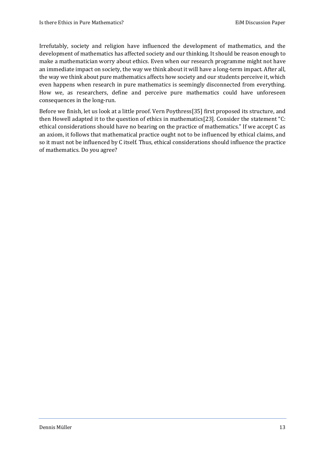Irrefutably, society and religion have influenced the development of mathematics, and the development of mathematics has affected society and our thinking. It should be reason enough to make a mathematician worry about ethics. Even when our research programme might not have an immediate impact on society, the way we think about it will have a long-term impact. After all, the way we think about pure mathematics affects how society and our students perceive it, which even happens when research in pure mathematics is seemingly disconnected from everything. How we, as researchers, define and perceive pure mathematics could have unforeseen consequences in the long-run.

Before we finish, let us look at a little proof. Vern Poythress[35] first proposed its structure, and then Howell adapted it to the question of ethics in mathematics[23]. Consider the statement "C: ethical considerations should have no bearing on the practice of mathematics." If we accept C as an axiom, it follows that mathematical practice ought not to be influenced by ethical claims, and so it must not be influenced by C itself. Thus, ethical considerations should influence the practice of mathematics. Do you agree?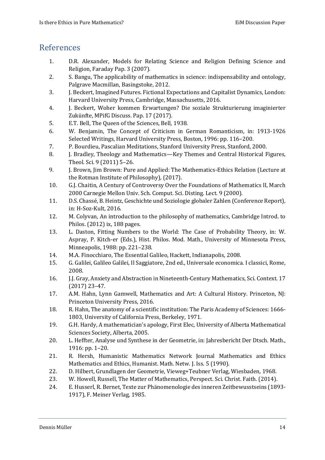### <span id="page-16-0"></span>References

- 1. D.R. Alexander, Models for Relating Science and Religion Defining Science and Religion, Faraday Pap. 3 (2007).
- 2. S. Bangu, The applicability of mathematics in science: indispensability and ontology, Palgrave Macmillan, Basingstoke, 2012.
- 3. J. Beckert, Imagined Futures. Fictional Expectations and Capitalist Dynamics, London: Harvard University Press, Cambridge, Massachusetts, 2016.
- 4. J. Beckert, Woher kommen Erwartungen? Die soziale Strukturierung imaginierter Zukünfte, MPifG Discuss. Pap. 17 (2017).
- 5. E.T. Bell, The Queen of the Sciences, Bell, 1938.
- 6. W. Benjamin, The Concept of Criticism in German Romanticism, in: 1913-1926 Selected Writings, Harvard University Press, Boston, 1996: pp. 116–200.
- 7. P. Bourdieu, Pascalian Meditations, Stanford University Press, Stanford, 2000.
- 8. J. Bradley, Theology and Mathematics—Key Themes and Central Historical Figures, Theol. Sci. 9 (2011) 5–26.
- 9. J. Brown, Jim Brown: Pure and Applied: The Mathematics-Ethics Relation (Lecture at the Rotman Institute of Philosophy), (2017).
- 10. G.J. Chaitin, A Century of Controversy Over the Foundations of Mathematics II, March 2000 Carnegie Mellon Univ. Sch. Comput. Sci. Disting. Lect. 9 (2000).
- 11. D.S. Chassé, B. Heintz, Geschichte und Soziologie globaler Zahlen (Conference Report), in: H-Soz-Kult, 2016.
- 12. M. Colyvan, An introduction to the philosophy of mathematics, Cambridge Introd. to Philos. (2012) ix, 188 pages.
- 13. L. Daston, Fitting Numbers to the World: The Case of Probability Theory, in: W. Aspray, P. Kitch-er (Eds.), Hist. Philos. Mod. Math., University of Minnesota Press, Minneapolis, 1988: pp. 221–238.
- 14. M.A. Finocchiaro, The Essential Galileo, Hackett, Indianapolis, 2008.
- 15. G. Galilei, Galileo Galilei, Il Saggiatore, 2nd ed., Universale economica. I classici, Rome, 2008.
- 16. J.J. Gray, Anxiety and Abstraction in Nineteenth-Century Mathematics, Sci. Context. 17 (2017) 23–47.
- 17. A.M. Hahn, Lynn Gamwell, Mathematics and Art: A Cultural History. Princeton, NJ: Princeton University Press, 2016.
- 18. R. Hahn, The anatomy of a scientific institution: The Paris Academy of Sciences: 1666- 1803, University of California Press, Berkeley, 1971.
- 19. G.H. Hardy, A mathematician's apology, First Elec, University of Alberta Mathematical Sciences Society, Alberta, 2005.
- 20. L. Heffter, Analyse und Synthese in der Geometrie, in: Jahresbericht Der Dtsch. Math., 1916: pp. 1–20.
- 21. R. Hersh, Humanistic Mathematics Network Journal Mathematics and Ethics Mathematics and Ethics, Humanist. Math. Netw. J. Iss. 5 (1990).
- 22. D. Hilbert, Grundlagen der Geometrie, Vieweg+Teubner Verlag, Wiesbaden, 1968.
- 23. W. Howell, Russell, The Matter of Mathematics, Perspect. Sci. Christ. Faith. (2014).
- 24. E. Husserl, R. Bernet, Texte zur Phänomenologie des inneren Zeitbewusstseins (1893- 1917), F. Meiner Verlag, 1985.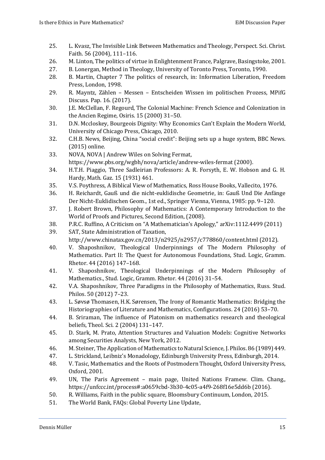- 25. L. Kvasz, The Invisible Link Between Mathematics and Theology, Perspect. Sci. Christ. Faith. 56 (2004), 111–116.
- 26. M. Linton, The politics of virtue in Enlightenment France, Palgrave, Basingstoke, 2001.
- 27. B. Lonergan, Method in Theology, University of Toronto Press, Toronto, 1990.
- 28. B. Martin, Chapter 7 The politics of research, in: Information Liberation, Freedom Press, London, 1998.
- 29. R. Mayntz, Zählen Messen Entscheiden Wissen im politischen Prozess, MPifG Discuss. Pap. 16. (2017).
- 30. J.E. McClellan, F. Regourd, The Colonial Machine: French Science and Colonization in the Ancien Regime, Osiris. 15 (2000) 31–50.
- 31. D.N. Mccloskey, Bourgeois Dignity: Why Economics Can't Explain the Modern World, University of Chicago Press, Chicago, 2010.
- 32. C.H.B. News, Beijing, China "social credit": Beijing sets up a huge system, BBC News. (2015) online.
- 33. NOVA, NOVA | Andrew Wiles on Solving Fermat, https://www.pbs.org/wgbh/nova/article/andrew-wiles-fermat (2000).
- 34. H.T.H. Piaggio, Three Sadleirian Professors: A. R. Forsyth, E. W. Hobson and G. H. Hardy, Math. Gaz. 15 (1931) 461.
- 35. V.S. Poythress, A Biblical View of Mathematics, Ross House Books, Vallecito, 1976.
- 36. H. Reichardt, Gauß und die nicht-euklidische Geometrie, in: Gauß Und Die Anfänge Der Nicht-Euklidischen Geom., 1st ed., Springer Vienna, Vienna, 1985: pp. 9–120.
- 37. J. Robert Brown, Philosophy of Mathematics: A Contemporary Introduction to the World of Proofs and Pictures, Second Edition, (2008).
- 38. P.R.C. Ruffino, A Criticism on "A Mathematician's Apology," arXiv:1112.4499 (2011)

39. SAT, State Administration of Taxation, http://www.chinatax.gov.cn/2013/n2925/n2957/c778860/content.html (2012).

- 40. V. Shaposhnikov, Theological Underpinnings of The Modern Philosophy of Mathematics. Part II: The Quest for Autonomous Foundations, Stud. Logic, Gramm. Rhetor. 44 (2016) 147–168.
- 41. V. Shaposhnikov, Theological Underpinnings of the Modern Philosophy of Mathematics., Stud. Logic, Gramm. Rhetor. 44 (2016) 31–54.
- 42. V.A. Shaposhnikov, Three Paradigms in the Philosophy of Mathematics, Russ. Stud. Philos. 50 (2012) 7–23.
- 43. L. Søvsø Thomasen, H.K. Sørensen, The Irony of Romantic Mathematics: Bridging the Historiographies of Literature and Mathematics, Configurations. 24 (2016) 53–70.
- 44. B. Sriraman, The influence of Platonism on mathematics research and theological beliefs, Theol. Sci. 2 (2004) 131–147.
- 45. D. Stark, M. Prato, Attention Structures and Valuation Models: Cognitive Networks among Securities Analysts, New York, 2012.
- 46. M. Steiner, The Application of Mathematics to Natural Science, J. Philos. 86 (1989) 449.
- 47. L. Strickland, Leibniz's Monadology, Edinburgh University Press, Edinburgh, 2014.
- 48. V. Tasic, Mathematics and the Roots of Postmodern Thought, Oxford University Press, Oxford, 2001.
- 49. UN, The Paris Agreement main page, United Nations Framew. Clim. Chang., https://unfccc.int/process#:a0659cbd-3b30-4c05-a4f9-268f16e5dd6b (2016).
- 50. R. Williams, Faith in the public square, Bloomsbury Continuum, London, 2015.
- 51. The World Bank, FAQs: Global Poverty Line Update,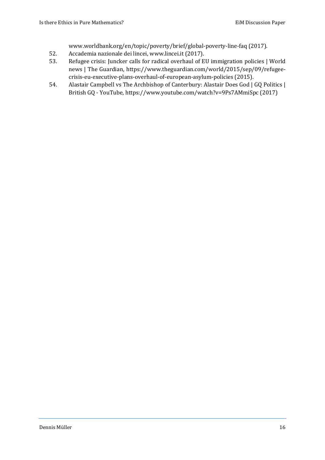www.worldbank.org/en/topic/poverty/brief/global-poverty-line-faq (2017).

- 52. Accademia nazionale dei lincei, www.lincei.it (2017).
- 53. Refugee crisis: Juncker calls for radical overhaul of EU immigration policies | World news | The Guardian, https://www.theguardian.com/world/2015/sep/09/refugeecrisis-eu-executive-plans-overhaul-of-european-asylum-policies (2015).
- 54. Alastair Campbell vs The Archbishop of Canterbury: Alastair Does God | GQ Politics | British GQ - YouTube, https://www.youtube.com/watch?v=9Ps7AMmiSpc (2017)